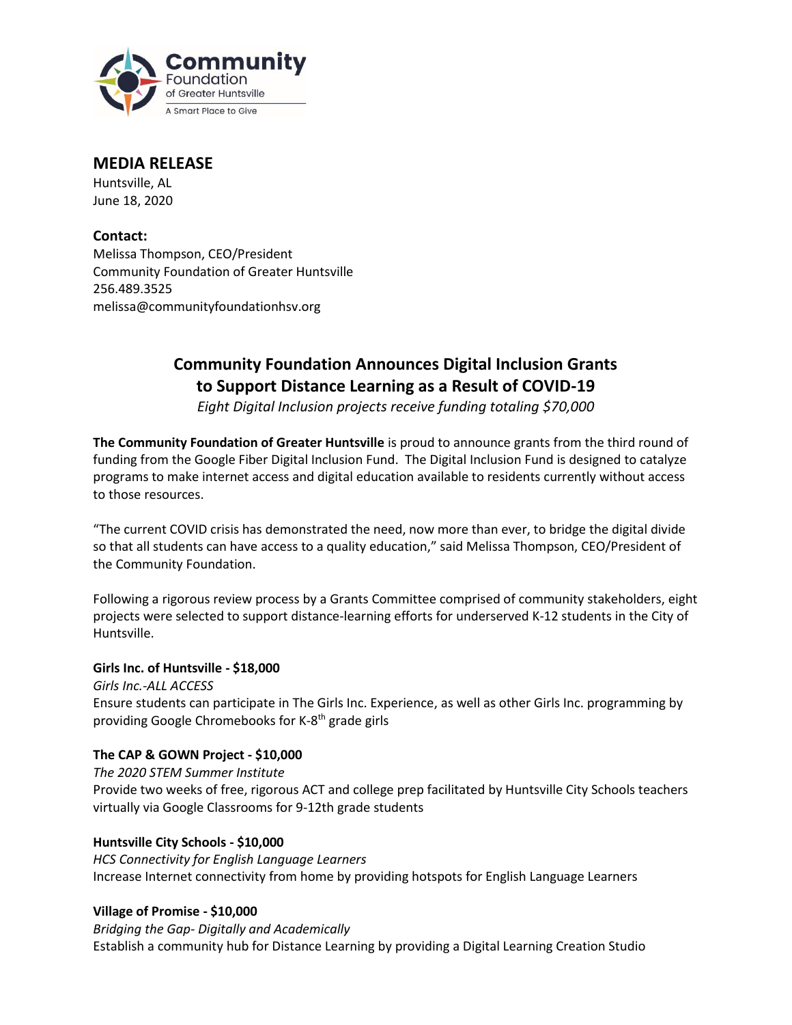

## **MEDIA RELEASE**

Huntsville, AL June 18, 2020

**Contact:** Melissa Thompson, CEO/President Community Foundation of Greater Huntsville 256.489.3525 melissa@communityfoundationhsv.org

# **Community Foundation Announces Digital Inclusion Grants to Support Distance Learning as a Result of COVID-19**

*Eight Digital Inclusion projects receive funding totaling \$70,000*

**The Community Foundation of Greater Huntsville** is proud to announce grants from the third round of funding from the Google Fiber Digital Inclusion Fund. The Digital Inclusion Fund is designed to catalyze programs to make internet access and digital education available to residents currently without access to those resources.

"The current COVID crisis has demonstrated the need, now more than ever, to bridge the digital divide so that all students can have access to a quality education," said Melissa Thompson, CEO/President of the Community Foundation.

Following a rigorous review process by a Grants Committee comprised of community stakeholders, eight projects were selected to support distance-learning efforts for underserved K-12 students in the City of Huntsville.

## **Girls Inc. of Huntsville - \$18,000**

*Girls Inc.-ALL ACCESS* Ensure students can participate in The Girls Inc. Experience, as well as other Girls Inc. programming by providing Google Chromebooks for K-8<sup>th</sup> grade girls

## **The CAP & GOWN Project - \$10,000**

*The 2020 STEM Summer Institute* Provide two weeks of free, rigorous ACT and college prep facilitated by Huntsville City Schools teachers virtually via Google Classrooms for 9-12th grade students

#### **Huntsville City Schools - \$10,000**

*HCS Connectivity for English Language Learners* Increase Internet connectivity from home by providing hotspots for English Language Learners

#### **Village of Promise - \$10,000**

*Bridging the Gap- Digitally and Academically*  Establish a community hub for Distance Learning by providing a Digital Learning Creation Studio